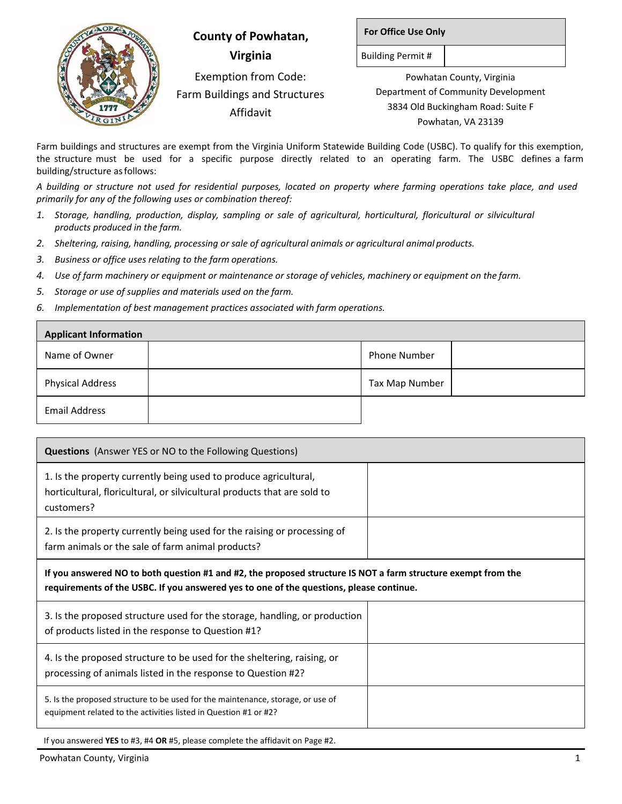

**County of Powhatan, Virginia** Exemption from Code: Farm Buildings and Structures Affidavit

**For Office Use Only**

Building Permit #

Powhatan County, Virginia Department of Community Development 3834 Old Buckingham Road: Suite F Powhatan, VA 23139

Farm buildings and structures are exempt from the Virginia Uniform Statewide Building Code (USBC). To qualify for this exemption, the structure must be used for a specific purpose directly related to an operating farm. The USBC defines a farm building/structure asfollows:

*A building or structure not used for residential purposes, located on property where farming operations take place, and used primarily for any of the following uses or combination thereof:*

- *1. Storage, handling, production, display, sampling or sale of agricultural, horticultural, floricultural or silvicultural products produced in the farm.*
- *2. Sheltering, raising, handling, processing or sale of agricultural animals or agricultural animal products.*
- *3. Business or office uses relating to the farm operations.*
- *4. Use of farm machinery or equipment or maintenance or storage of vehicles, machinery or equipment on the farm.*
- *5. Storage or use of supplies and materials used on the farm.*
- *6. Implementation of best management practices associated with farm operations.*

| <b>Applicant Information</b> |  |                     |  |  |
|------------------------------|--|---------------------|--|--|
| Name of Owner                |  | <b>Phone Number</b> |  |  |
| <b>Physical Address</b>      |  | Tax Map Number      |  |  |
| <b>Email Address</b>         |  |                     |  |  |

| <b>Questions</b> (Answer YES or NO to the Following Questions)                                                                                                                                           |  |  |  |  |
|----------------------------------------------------------------------------------------------------------------------------------------------------------------------------------------------------------|--|--|--|--|
| 1. Is the property currently being used to produce agricultural,<br>horticultural, floricultural, or silvicultural products that are sold to<br>customers?                                               |  |  |  |  |
| 2. Is the property currently being used for the raising or processing of<br>farm animals or the sale of farm animal products?                                                                            |  |  |  |  |
| If you answered NO to both question #1 and #2, the proposed structure IS NOT a farm structure exempt from the<br>requirements of the USBC. If you answered yes to one of the questions, please continue. |  |  |  |  |
| 3. Is the proposed structure used for the storage, handling, or production<br>of products listed in the response to Question #1?                                                                         |  |  |  |  |
| 4. Is the proposed structure to be used for the sheltering, raising, or<br>processing of animals listed in the response to Question #2?                                                                  |  |  |  |  |
| 5. Is the proposed structure to be used for the maintenance, storage, or use of<br>equipment related to the activities listed in Question #1 or #2?                                                      |  |  |  |  |

If you answered **YES** to #3, #4 **OR** #5, please complete the affidavit on Page #2.